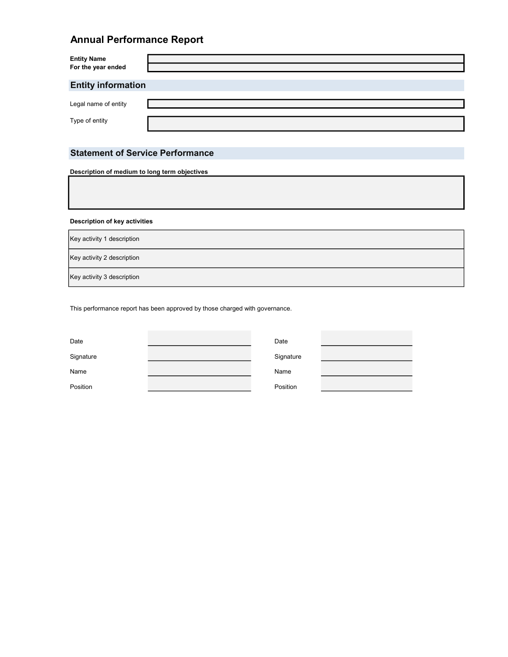# Annual Performance Report

| Entity Name<br>For the year ended      |  |
|----------------------------------------|--|
| <b>Entity information</b>              |  |
| Legal name of entity<br>Type of entity |  |
|                                        |  |

# Statement of Service Performance

Description of medium to long term objectives

Description of key activities

Key activity 2 description Key activity 3 description Key activity 1 description

This performance report has been approved by those charged with governance.

| Date<br>Date           |  |
|------------------------|--|
|                        |  |
| Signature<br>Signature |  |
|                        |  |
| Name<br>Name           |  |
|                        |  |
| Position<br>Position   |  |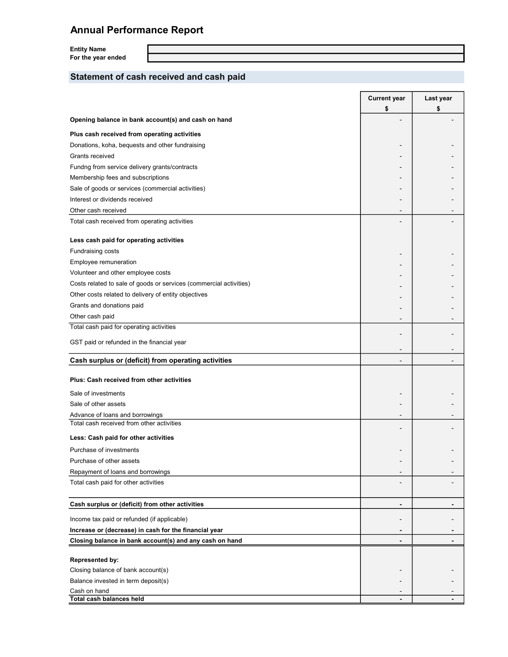# Annual Performance Report

Entity Name For the year ended

# Statement of cash received and cash paid

|                                                                    | <b>Current year</b> | Last year |
|--------------------------------------------------------------------|---------------------|-----------|
|                                                                    | \$                  | \$        |
| Opening balance in bank account(s) and cash on hand                |                     |           |
| Plus cash received from operating activities                       |                     |           |
| Donations, koha, bequests and other fundraising                    |                     |           |
| Grants received                                                    |                     |           |
| Fundng from service delivery grants/contracts                      |                     |           |
| Membership fees and subscriptions                                  |                     |           |
| Sale of goods or services (commercial activities)                  |                     |           |
| Interest or dividends received                                     |                     |           |
| Other cash received                                                |                     |           |
| Total cash received from operating activities                      |                     |           |
| Less cash paid for operating activities                            |                     |           |
| Fundraising costs                                                  |                     |           |
| Employee remuneration                                              |                     |           |
| Volunteer and other employee costs                                 |                     |           |
| Costs related to sale of goods or services (commercial activities) |                     |           |
| Other costs related to delivery of entity objectives               |                     |           |
| Grants and donations paid                                          |                     |           |
| Other cash paid                                                    |                     |           |
| Total cash paid for operating activities                           |                     |           |
| GST paid or refunded in the financial year                         |                     |           |
| Cash surplus or (deficit) from operating activities                | $\blacksquare$      |           |
|                                                                    |                     |           |
| Plus: Cash received from other activities                          |                     |           |
| Sale of investments                                                |                     |           |
| Sale of other assets                                               |                     |           |
| Advance of loans and borrowings                                    |                     |           |
| Total cash received from other activities                          |                     |           |
| Less: Cash paid for other activities                               |                     |           |
| Purchase of investments                                            |                     |           |
| Purchase of other assets                                           |                     |           |
| Repayment of loans and borrowings                                  |                     |           |
| Total cash paid for other activities                               |                     |           |
| Cash surplus or (deficit) from other activities                    |                     |           |
| Income tax paid or refunded (if applicable)                        |                     |           |
| Increase or (decrease) in cash for the financial year              |                     |           |
| Closing balance in bank account(s) and any cash on hand            |                     |           |
| <b>Represented by:</b>                                             |                     |           |
| Closing balance of bank account(s)                                 |                     |           |
| Balance invested in term deposit(s)                                |                     |           |
| Cash on hand                                                       |                     |           |
| Total cash balances held                                           |                     |           |